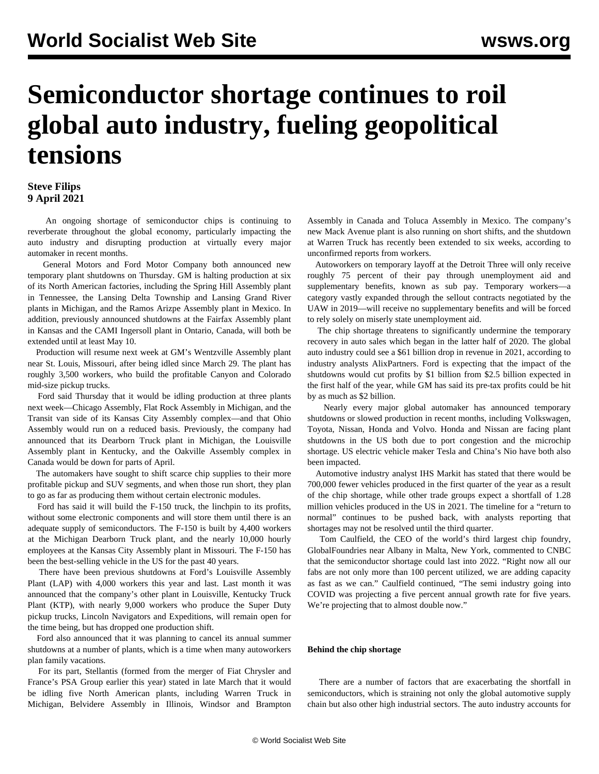## **Semiconductor shortage continues to roil global auto industry, fueling geopolitical tensions**

## **Steve Filips 9 April 2021**

 An ongoing shortage of semiconductor chips is continuing to reverberate throughout the global economy, particularly impacting the auto industry and disrupting production at virtually every major automaker in recent months.

 General Motors and Ford Motor Company both announced new temporary plant shutdowns on Thursday. GM is halting production at six of its North American factories, including the Spring Hill Assembly plant in Tennessee, the Lansing Delta Township and Lansing Grand River plants in Michigan, and the Ramos Arizpe Assembly plant in Mexico. In addition, previously announced shutdowns at the Fairfax Assembly plant in Kansas and the CAMI Ingersoll plant in Ontario, Canada, will both be extended until at least May 10.

 Production will resume next week at GM's Wentzville Assembly plant near St. Louis, Missouri, after being idled since March 29. The plant has roughly 3,500 workers, who build the profitable Canyon and Colorado mid-size pickup trucks.

 Ford said Thursday that it would be idling production at three plants next week—Chicago Assembly, Flat Rock Assembly in Michigan, and the Transit van side of its Kansas City Assembly complex—and that Ohio Assembly would run on a reduced basis. Previously, the company had announced that its Dearborn Truck plant in Michigan, the Louisville Assembly plant in Kentucky, and the Oakville Assembly complex in Canada would be down for parts of April.

 The automakers have sought to shift scarce chip supplies to their more profitable pickup and SUV segments, and when those run short, they plan to go as far as producing them without certain electronic modules.

 Ford has said it will build the F-150 truck, the linchpin to its profits, without some electronic components and will store them until there is an adequate supply of semiconductors. The F-150 is built by 4,400 workers at the Michigan Dearborn Truck plant, and the nearly 10,000 hourly employees at the Kansas City Assembly plant in Missouri. The F-150 has been the best-selling vehicle in the US for the past 40 years.

 There have been [previous shutdowns](/en/articles/2021/01/11/kent-j11.html) at Ford's Louisville Assembly Plant (LAP) with 4,000 workers this year and last. Last month it was announced that the company's other plant in Louisville, Kentucky Truck Plant (KTP), with nearly 9,000 workers who produce the Super Duty pickup trucks, Lincoln Navigators and Expeditions, will remain open for the time being, but has dropped one production shift.

 Ford also announced that it was planning to cancel its annual summer shutdowns at a number of plants, which is a time when many autoworkers plan family vacations.

 For its part, Stellantis (formed from the merger of Fiat Chrysler and France's PSA Group earlier this year) stated in late March that it would be idling five North American plants, including Warren Truck in Michigan, Belvidere Assembly in Illinois, Windsor and Brampton Assembly in Canada and Toluca Assembly in Mexico. The company's new Mack Avenue plant is also running on short shifts, and the shutdown at Warren Truck has recently been extended to six weeks, according to unconfirmed reports from workers.

 Autoworkers on temporary layoff at the Detroit Three will only receive roughly 75 percent of their pay through unemployment aid and supplementary benefits, known as sub pay. Temporary workers—a category vastly expanded through the [sellout contracts negotiated by the](/en/articles/2019/12/05/auto-d05.html) [UAW in 2019—](/en/articles/2019/12/05/auto-d05.html)will receive no supplementary benefits and will be forced to rely solely on miserly state unemployment aid.

 The chip shortage threatens to significantly undermine the temporary recovery in auto sales which began in the latter half of 2020. The global auto industry could see a \$61 billion drop in revenue in 2021, according to industry analysts AlixPartners. Ford is expecting that the impact of the shutdowns would cut profits by \$1 billion from \$2.5 billion expected in the first half of the year, while GM has said its pre-tax profits could be hit by as much as \$2 billion.

 Nearly every major global automaker has announced temporary shutdowns or slowed production in recent months, including Volkswagen, Toyota, Nissan, Honda and Volvo. Honda and Nissan are facing plant shutdowns in the US both due to port congestion and the microchip shortage. US electric vehicle maker Tesla and China's Nio have both also been impacted.

 Automotive industry analyst IHS Markit has stated that there would be 700,000 fewer vehicles produced in the first quarter of the year as a result of the chip shortage, while other trade groups expect a shortfall of 1.28 million vehicles produced in the US in 2021. The timeline for a "return to normal" continues to be pushed back, with analysts reporting that shortages may not be resolved until the third quarter.

 Tom Caulfield, the CEO of the world's third largest chip foundry, GlobalFoundries near Albany in Malta, New York, commented to CNBC that the semiconductor shortage could last into 2022. "Right now all our fabs are not only more than 100 percent utilized, we are adding capacity as fast as we can." Caulfield continued, "The semi industry going into COVID was projecting a five percent annual growth rate for five years. We're projecting that to almost double now."

## **Behind the chip shortage**

 There are a number of factors that are exacerbating the shortfall in semiconductors, which is straining not only the global automotive supply chain but also other high industrial sectors. The auto industry accounts for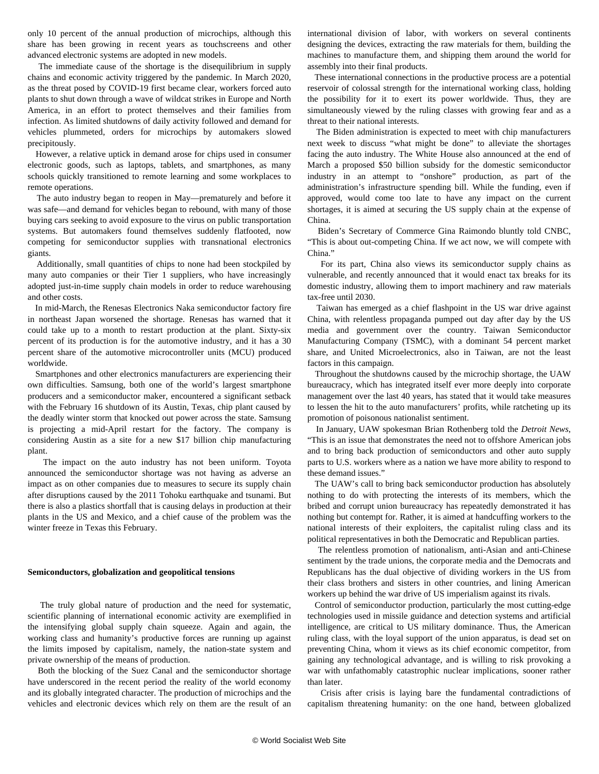only 10 percent of the annual production of microchips, although this share has been growing in recent years as touchscreens and other advanced electronic systems are adopted in new models.

 The immediate cause of the shortage is the disequilibrium in supply chains and economic activity triggered by the pandemic. In March 2020, as the threat posed by COVID-19 first became clear, workers forced auto plants to shut down through a wave of wildcat strikes in Europe and North America, in an effort to protect themselves and their families from infection. As limited shutdowns of daily activity followed and demand for vehicles plummeted, orders for microchips by automakers slowed precipitously.

 However, a relative uptick in demand arose for chips used in consumer electronic goods, such as laptops, tablets, and smartphones, as many schools quickly transitioned to remote learning and some workplaces to remote operations.

 The auto industry began to reopen in May—prematurely and before it was safe—and demand for vehicles began to rebound, with many of those buying cars seeking to avoid exposure to the virus on public transportation systems. But automakers found themselves suddenly flatfooted, now competing for semiconductor supplies with transnational electronics giants.

 Additionally, small quantities of chips to none had been stockpiled by many auto companies or their Tier 1 suppliers, who have increasingly adopted just-in-time supply chain models in order to reduce warehousing and other costs.

 In mid-March, the Renesas Electronics Naka semiconductor factory fire in northeast Japan worsened the shortage. Renesas has warned that it could take up to a month to restart production at the plant. Sixty-six percent of its production is for the automotive industry, and it has a 30 percent share of the automotive microcontroller units (MCU) produced worldwide.

 Smartphones and other electronics manufacturers are experiencing their own difficulties. Samsung, both one of the world's largest smartphone producers and a semiconductor maker, encountered a significant setback with the February 16 shutdown of its Austin, Texas, chip plant caused by the deadly winter storm that knocked out power across the state. Samsung is projecting a mid-April restart for the factory. The company is considering Austin as a site for a new \$17 billion chip manufacturing plant.

 The impact on the auto industry has not been uniform. Toyota announced the semiconductor shortage was not having as adverse an impact as on other companies due to measures to secure its supply chain after disruptions caused by the 2011 Tohoku earthquake and tsunami. But there is also a plastics shortfall that is causing delays in production at their plants in the US and Mexico, and a chief cause of the problem was the winter freeze in Texas this February.

## **Semiconductors, globalization and geopolitical tensions**

 The truly global nature of production and the need for systematic, scientific planning of international economic activity are exemplified in the intensifying global supply chain squeeze. Again and again, the working class and humanity's productive forces are running up against the limits imposed by capitalism, namely, the nation-state system and private ownership of the means of production.

 Both the [blocking of the Suez Canal](/en/articles/2021/03/29/suez-m29.html) and the semiconductor shortage have underscored in the recent period the reality of the world economy and its globally integrated character. The production of microchips and the vehicles and electronic devices which rely on them are the result of an international division of labor, with workers on several continents designing the devices, extracting the raw materials for them, building the machines to manufacture them, and shipping them around the world for assembly into their final products.

 These international connections in the productive process are a potential reservoir of colossal strength for the international working class, holding the possibility for it to exert its power worldwide. Thus, they are simultaneously viewed by the ruling classes with growing fear and as a threat to their national interests.

 The Biden administration is expected to meet with chip manufacturers next week to discuss "what might be done" to alleviate the shortages facing the auto industry. The White House also announced at the end of March a proposed \$50 billion subsidy for the domestic semiconductor industry in an attempt to "onshore" production, as part of the administration's infrastructure spending bill. While the funding, even if approved, would come too late to have any impact on the current shortages, it is aimed at securing the US supply chain at the expense of China.

 Biden's Secretary of Commerce Gina Raimondo bluntly told CNBC, "This is about out-competing China. If we act now, we will compete with China."

 For its part, China also views its semiconductor supply chains as vulnerable, and recently announced that it would enact tax breaks for its domestic industry, allowing them to import machinery and raw materials tax-free until 2030.

 Taiwan has emerged as a chief flashpoint in the US war drive against China, with relentless propaganda pumped out day after day by the US media and government over the country. Taiwan Semiconductor Manufacturing Company (TSMC), with a dominant 54 percent market share, and United Microelectronics, also in Taiwan, are not the least factors in this campaign.

 Throughout the shutdowns caused by the microchip shortage, the UAW bureaucracy, which has integrated itself ever more deeply into corporate management over the last 40 years, has stated that it would take measures to lessen the hit to the auto manufacturers' profits, while ratcheting up its promotion of poisonous nationalist sentiment.

 In January, UAW spokesman Brian Rothenberg told the *Detroit News*, "This is an issue that demonstrates the need not to offshore American jobs and to bring back production of semiconductors and other auto supply parts to U.S. workers where as a nation we have more ability to respond to these demand issues."

 The UAW's call to bring back semiconductor production has absolutely nothing to do with protecting the interests of its members, which the bribed and corrupt union bureaucracy has repeatedly demonstrated it has nothing but contempt for. Rather, it is aimed at handcuffing workers to the national interests of their exploiters, the capitalist ruling class and its political representatives in both the Democratic and Republican parties.

 The relentless promotion of nationalism, anti-Asian and anti-Chinese sentiment by the trade unions, the corporate media and the Democrats and Republicans has the dual objective of dividing workers in the US from their class brothers and sisters in other countries, and lining American workers up behind the war drive of US imperialism against its rivals.

 Control of semiconductor production, particularly the most cutting-edge technologies used in missile guidance and detection systems and artificial intelligence, are critical to US military dominance. Thus, the American ruling class, with the loyal support of the union apparatus, is dead set on preventing China, whom it views as its chief economic competitor, from gaining any technological advantage, and is willing to risk provoking a war with unfathomably catastrophic nuclear implications, sooner rather than later.

 Crisis after crisis is laying bare the fundamental contradictions of capitalism threatening humanity: on the one hand, between globalized